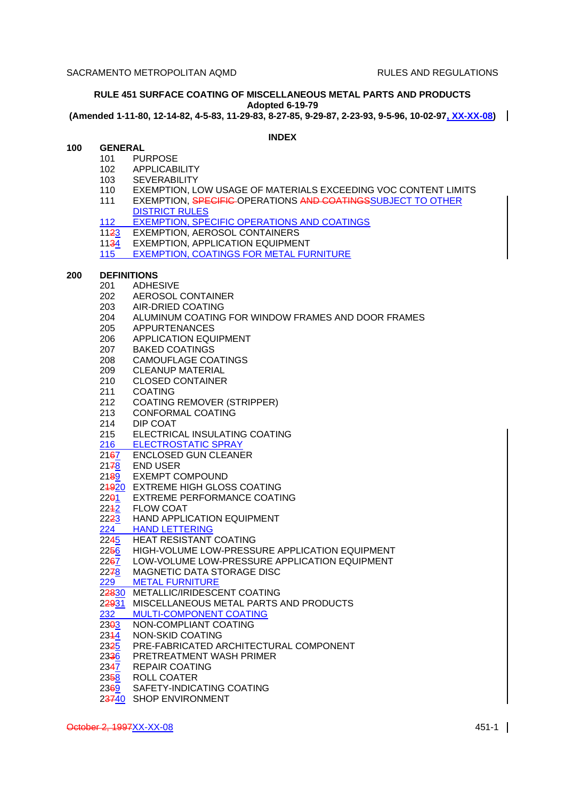# **RULE 451 SURFACE COATING OF MISCELLANEOUS METAL PARTS AND PRODUCTS Adopted 6-19-79**

**(Amended 1-11-80, 12-14-82, 4-5-83, 11-29-83, 8-27-85, 9-29-87, 2-23-93, 9-5-96, 10-02-97, XX-XX-08)**

# **INDEX**

- **100 GENERAL**
	- 101 PURPOSE
	- 102 APPLICABILITY
	- 103 SEVERABILITY
	- 110 EXEMPTION, LOW USAGE OF MATERIALS EXCEEDING VOC CONTENT LIMITS
	- 111 EXEMPTION, SPECIFIC OPERATIONS AND COATINGSSUBJECT TO OTHER DISTRICT RULES
	- 112 EXEMPTION, SPECIFIC OPERATIONS AND COATINGS
	- 1123 EXEMPTION, AEROSOL CONTAINERS
	- 1134 EXEMPTION, APPLICATION EQUIPMENT
	- 115 EXEMPTION, COATINGS FOR METAL FURNITURE

# **200 DEFINITIONS**

- 201 ADHESIVE
- 202 AEROSOL CONTAINER
- 203 AIR-DRIED COATING
- 204 ALUMINUM COATING FOR WINDOW FRAMES AND DOOR FRAMES
- 205 APPURTENANCES
- 206 APPLICATION EQUIPMENT
- 207 BAKED COATINGS
- 208 CAMOUFLAGE COATINGS
- 209 CLEANUP MATERIAL
- 210 CLOSED CONTAINER
- 211 COATING
- 212 COATING REMOVER (STRIPPER)
- 213 CONFORMAL COATING
- 214 DIP COAT
- 215 ELECTRICAL INSULATING COATING
- 216 ELECTROSTATIC SPRAY
- 2167 ENCLOSED GUN CLEANER
- 2178 END USER
- 2189 EXEMPT COMPOUND
- 24920 EXTREME HIGH GLOSS COATING
- 22<del>0</del>1 EXTREME PERFORMANCE COATING
- 2242 FLOW COAT<br>22<del>23</del> HAND APPLI
- HAND APPLICATION EQUIPMENT
- 224 HAND LETTERING<br>2245 HEAT RESISTANT
- 2245 HEAT RESISTANT COATING<br>2256 HIGH-VOLUME LOW-PRESSI
- 2256 HIGH-VOLUME LOW-PRESSURE APPLICATION EQUIPMENT<br>2267 LOW-VOLUME LOW-PRESSURE APPLICATION EQUIPMENT
- 2267 LOW-VOLUME LOW-PRESSURE APPLICATION EQUIPMENT<br>2278 MAGNETIC DATA STORAGE DISC
- MAGNETIC DATA STORAGE DISC
- 229 METAL FURNITURE
- 22830 METALLIC/IRIDESCENT COATING
- 22931 MISCELLANEOUS METAL PARTS AND PRODUCTS
- 232 MULTI-COMPONENT COATING<br>23<del>0</del>3 NON-COMPLIANT COATING
- 23<del>0</del>3 NON-COMPLIANT COATING<br>2344 NON-SKID COATING
- 2314 NON-SKID COATING
- 2325 PRE-FABRICATED ARCHITECTURAL COMPONENT
- 2336 PRETREATMENT WASH PRIMER
- 2347 REPAIR COATING
- 2358 ROLL COATER
- 2369 SAFETY-INDICATING COATING
- 23740 SHOP ENVIRONMENT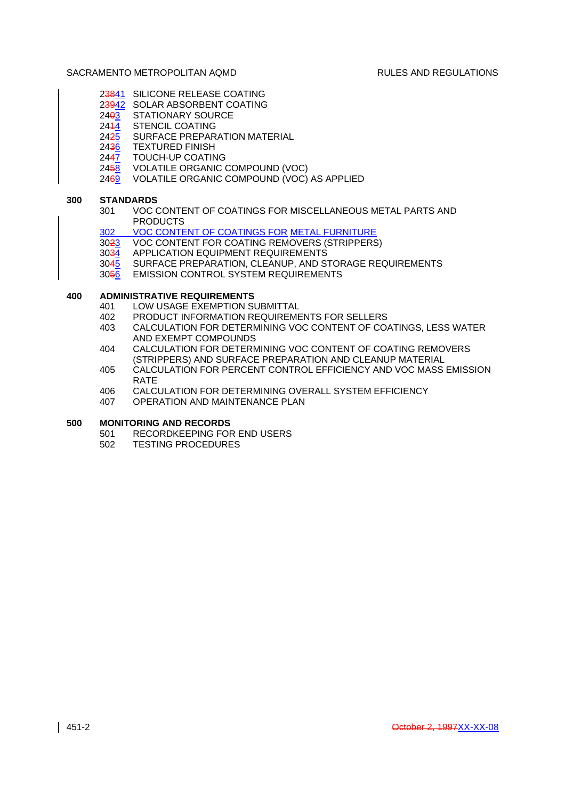- 23841 SILICONE RELEASE COATING
- 23942 SOLAR ABSORBENT COATING
- 2403 STATIONARY SOURCE
- 2444 STENCIL COATING
- 2425 SURFACE PREPARATION MATERIAL
- 2436 TEXTURED FINISH
- 2447 TOUCH-UP COATING
- 2458 VOLATILE ORGANIC COMPOUND (VOC)
- 2469 VOLATILE ORGANIC COMPOUND (VOC) AS APPLIED

# **300 STANDARDS**

- 301 VOC CONTENT OF COATINGS FOR MISCELLANEOUS METAL PARTS AND PRODUCTS
- 302 VOC CONTENT OF COATINGS FOR METAL FURNITURE
- 3023 VOC CONTENT FOR COATING REMOVERS (STRIPPERS)
- 3034 APPLICATION EQUIPMENT REQUIREMENTS
- 3045 SURFACE PREPARATION, CLEANUP, AND STORAGE REQUIREMENTS
- 3056 EMISSION CONTROL SYSTEM REQUIREMENTS

# **400 ADMINISTRATIVE REQUIREMENTS**

- 401 LOW USAGE EXEMPTION SUBMITTAL
- 402 PRODUCT INFORMATION REQUIREMENTS FOR SELLERS
- 403 CALCULATION FOR DETERMINING VOC CONTENT OF COATINGS, LESS WATER AND EXEMPT COMPOUNDS
- 404 CALCULATION FOR DETERMINING VOC CONTENT OF COATING REMOVERS (STRIPPERS) AND SURFACE PREPARATION AND CLEANUP MATERIAL
- 405 CALCULATION FOR PERCENT CONTROL EFFICIENCY AND VOC MASS EMISSION RATE
- 406 CALCULATION FOR DETERMINING OVERALL SYSTEM EFFICIENCY
- 407 OPERATION AND MAINTENANCE PLAN

# **500 MONITORING AND RECORDS**

- 501 RECORDKEEPING FOR END USERS
- 502 TESTING PROCEDURES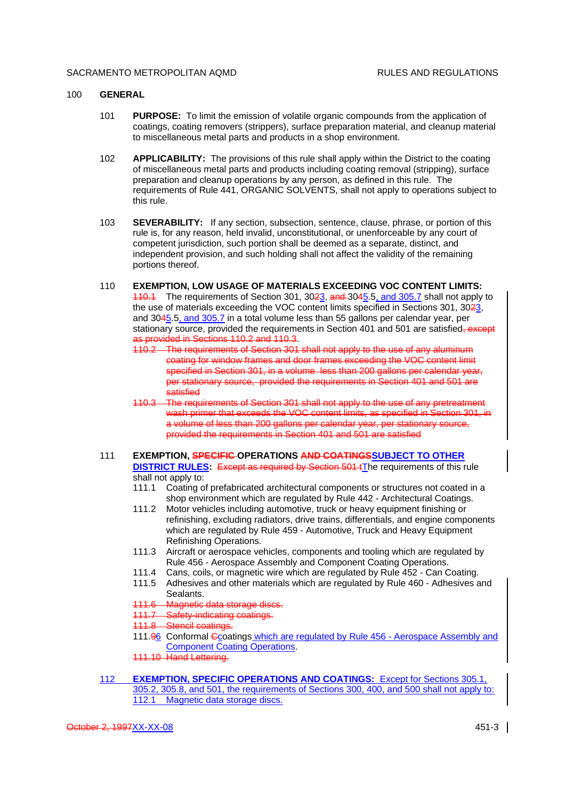#### 100 **GENERAL**

- 101 **PURPOSE:** To limit the emission of volatile organic compounds from the application of coatings, coating removers (strippers), surface preparation material, and cleanup material to miscellaneous metal parts and products in a shop environment.
- 102 **APPLICABILITY:** The provisions of this rule shall apply within the District to the coating of miscellaneous metal parts and products including coating removal (stripping), surface preparation and cleanup operations by any person, as defined in this rule. The requirements of Rule 441, ORGANIC SOLVENTS, shall not apply to operations subject to this rule.
- 103 **SEVERABILITY:** If any section, subsection, sentence, clause, phrase, or portion of this rule is, for any reason, held invalid, unconstitutional, or unenforceable by any court of competent jurisdiction, such portion shall be deemed as a separate, distinct, and independent provision, and such holding shall not affect the validity of the remaining portions thereof.
- 110 **EXEMPTION, LOW USAGE OF MATERIALS EXCEEDING VOC CONTENT LIMITS:** 110.1 The requirements of Section 301, 3023, and 3045.5, and 305.7 shall not apply to the use of materials exceeding the VOC content limits specified in Sections 301, 3023, and 3045.5, and 305.7 in a total volume less than 55 gallons per calendar year, per stationary source, provided the requirements in Section 401 and 501 are satisfied–except as provided in Sections 110.2 and 110.3.
	- 110.2 The requirements of Section 301 shall not apply to the use of any aluminum coating for window frames and door frames exceeding the VOC content limit specified in Section 301, in a volume less than 200 gallons per calendar year, per stationary source, provided the requirements in Section 401 and 501 are satisfied
	- 110.3 The requirements of Section 301 shall not apply to the use of any pretreatment wash primer that exceeds the VOC content limits, as specified in Section 301, in a volume of less than 200 gallons per calendar year, per stationary source, provided the requirements in Section 401 and 501 are satisfied

# 111 **EXEMPTION, SPECIFIC OPERATIONS AND COATINGSSUBJECT TO OTHER DISTRICT RULES:** Except as required by Section 501 tThe requirements of this rule shall not apply to:

- 111.1 Coating of prefabricated architectural components or structures not coated in a shop environment which are regulated by Rule 442 - Architectural Coatings.
- 111.2 Motor vehicles including automotive, truck or heavy equipment finishing or refinishing, excluding radiators, drive trains, differentials, and engine components which are regulated by Rule 459 - Automotive, Truck and Heavy Equipment Refinishing Operations.
- 111.3 Aircraft or aerospace vehicles, components and tooling which are regulated by Rule 456 - Aerospace Assembly and Component Coating Operations.
- 111.4 Cans, coils, or magnetic wire which are regulated by Rule 452 Can Coating.
- 111.5 Adhesives and other materials which are regulated by Rule 460 Adhesives and Sealants.
- 111.6 Magnetic data storage discs.
- 111.7 Safety-indicating coatings.
- 111.8 Stencil coatings.
- 111.96 Conformal Gcoatings which are regulated by Rule 456 Aerospace Assembly and Component Coating Operations.
- 111.10 Hand Lettering.
- 112 **EXEMPTION, SPECIFIC OPERATIONS AND COATINGS:** Except for Sections 305.1, 305.2, 305.8, and 501, the requirements of Sections 300, 400, and 500 shall not apply to: 112.1 Magnetic data storage discs.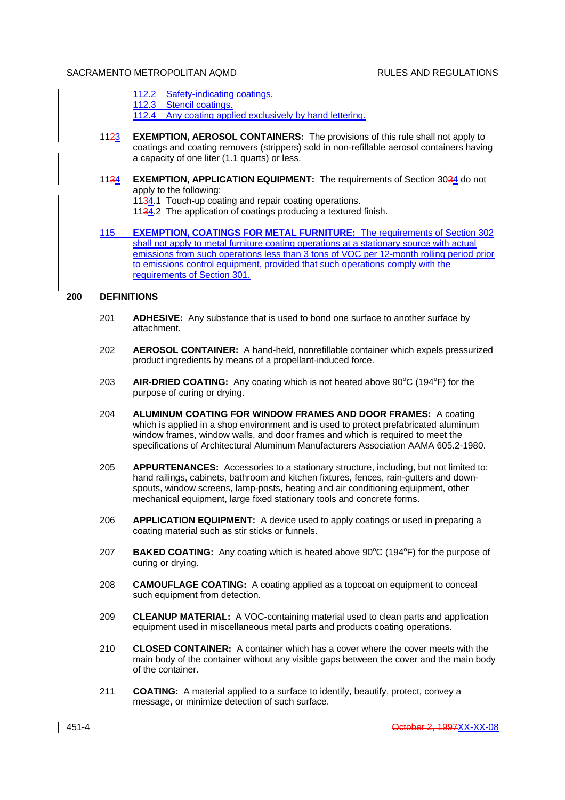- 112.2 Safety-indicating coatings.
- 112.3 Stencil coatings.

112.4 Any coating applied exclusively by hand lettering.

- 1123 **EXEMPTION, AEROSOL CONTAINERS:** The provisions of this rule shall not apply to coatings and coating removers (strippers) sold in non-refillable aerosol containers having a capacity of one liter (1.1 quarts) or less.
- 1134 **EXEMPTION, APPLICATION EQUIPMENT:** The requirements of Section 3034 do not apply to the following:
	- 1134.1 Touch-up coating and repair coating operations.
	- 1134.2 The application of coatings producing a textured finish.
- 115 **EXEMPTION, COATINGS FOR METAL FURNITURE:** The requirements of Section 302 shall not apply to metal furniture coating operations at a stationary source with actual emissions from such operations less than 3 tons of VOC per 12-month rolling period prior to emissions control equipment, provided that such operations comply with the requirements of Section 301.

#### **200 DEFINITIONS**

- 201 **ADHESIVE:** Any substance that is used to bond one surface to another surface by attachment.
- 202 **AEROSOL CONTAINER:** A hand-held, nonrefillable container which expels pressurized product ingredients by means of a propellant-induced force.
- 203 **AIR-DRIED COATING:** Any coating which is not heated above 90<sup>o</sup>C (194<sup>o</sup>F) for the purpose of curing or drying.
- 204 **ALUMINUM COATING FOR WINDOW FRAMES AND DOOR FRAMES:** A coating which is applied in a shop environment and is used to protect prefabricated aluminum window frames, window walls, and door frames and which is required to meet the specifications of Architectural Aluminum Manufacturers Association AAMA 605.2-1980.
- 205 **APPURTENANCES:** Accessories to a stationary structure, including, but not limited to: hand railings, cabinets, bathroom and kitchen fixtures, fences, rain-gutters and downspouts, window screens, lamp-posts, heating and air conditioning equipment, other mechanical equipment, large fixed stationary tools and concrete forms.
- 206 **APPLICATION EQUIPMENT:** A device used to apply coatings or used in preparing a coating material such as stir sticks or funnels.
- 207 **BAKED COATING:** Any coating which is heated above 90°C (194°F) for the purpose of curing or drying.
- 208 **CAMOUFLAGE COATING:** A coating applied as a topcoat on equipment to conceal such equipment from detection.
- 209 **CLEANUP MATERIAL:** A VOC-containing material used to clean parts and application equipment used in miscellaneous metal parts and products coating operations.
- 210 **CLOSED CONTAINER:** A container which has a cover where the cover meets with the main body of the container without any visible gaps between the cover and the main body of the container.
- 211 **COATING:** A material applied to a surface to identify, beautify, protect, convey a message, or minimize detection of such surface.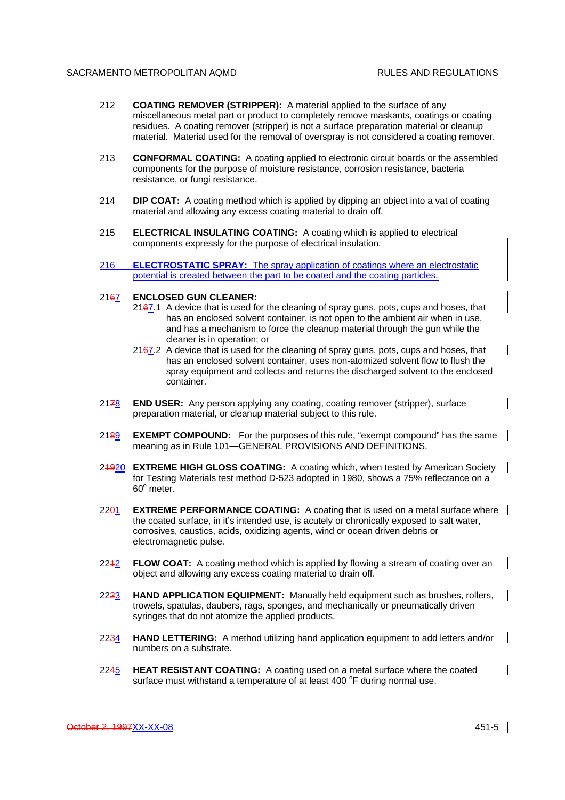- 212 **COATING REMOVER (STRIPPER):** A material applied to the surface of any miscellaneous metal part or product to completely remove maskants, coatings or coating residues. A coating remover (stripper) is not a surface preparation material or cleanup material. Material used for the removal of overspray is not considered a coating remover.
- 213 **CONFORMAL COATING:** A coating applied to electronic circuit boards or the assembled components for the purpose of moisture resistance, corrosion resistance, bacteria resistance, or fungi resistance.
- 214 **DIP COAT:** A coating method which is applied by dipping an object into a vat of coating material and allowing any excess coating material to drain off.
- 215 **ELECTRICAL INSULATING COATING:** A coating which is applied to electrical components expressly for the purpose of electrical insulation.
- 216 **ELECTROSTATIC SPRAY:** The spray application of coatings where an electrostatic potential is created between the part to be coated and the coating particles.

#### 2167 **ENCLOSED GUN CLEANER:**

- $2167.1$  A device that is used for the cleaning of spray guns, pots, cups and hoses, that has an enclosed solvent container, is not open to the ambient air when in use, and has a mechanism to force the cleanup material through the gun while the cleaner is in operation; or
- $2167.2$  A device that is used for the cleaning of spray guns, pots, cups and hoses, that has an enclosed solvent container, uses non-atomized solvent flow to flush the spray equipment and collects and returns the discharged solvent to the enclosed container.
- 2178 **END USER:** Any person applying any coating, coating remover (stripper), surface preparation material, or cleanup material subject to this rule.
- 2189 **EXEMPT COMPOUND:** For the purposes of this rule, "exempt compound" has the same meaning as in Rule 101—GENERAL PROVISIONS AND DEFINITIONS.
- 21920 **EXTREME HIGH GLOSS COATING:** A coating which, when tested by American Society for Testing Materials test method D-523 adopted in 1980, shows a 75% reflectance on a  $60^\circ$  meter.
- 2201 **EXTREME PERFORMANCE COATING:** A coating that is used on a metal surface where | the coated surface, in it's intended use, is acutely or chronically exposed to salt water, corrosives, caustics, acids, oxidizing agents, wind or ocean driven debris or electromagnetic pulse.
- 2242 **FLOW COAT:** A coating method which is applied by flowing a stream of coating over an | object and allowing any excess coating material to drain off.
- 2223 **HAND APPLICATION EQUIPMENT:** Manually held equipment such as brushes, rollers, trowels, spatulas, daubers, rags, sponges, and mechanically or pneumatically driven syringes that do not atomize the applied products.
- 2234 **HAND LETTERING:** A method utilizing hand application equipment to add letters and/or numbers on a substrate.
- 2245 **HEAT RESISTANT COATING:** A coating used on a metal surface where the coated surface must withstand a temperature of at least 400 °F during normal use.

 $\mathbf{I}$ 

 $\mathsf{l}$ 

 $\mathsf{l}$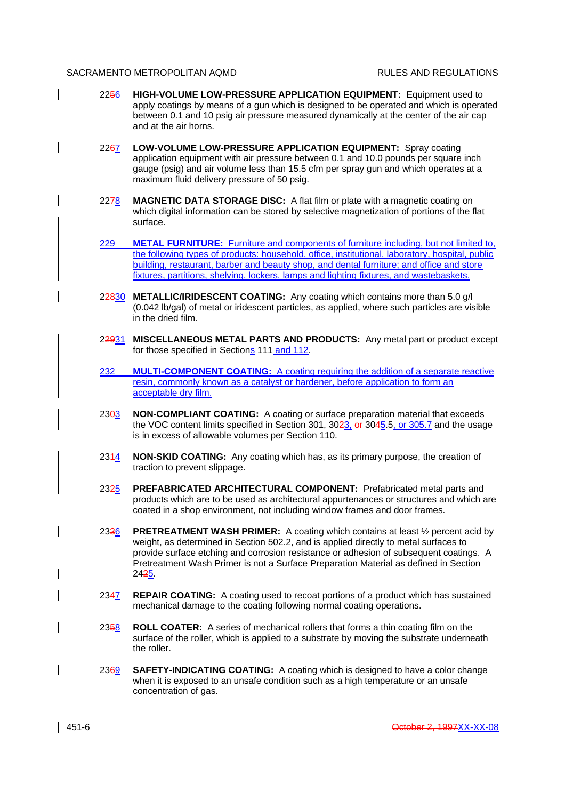- 2256 **HIGH-VOLUME LOW-PRESSURE APPLICATION EQUIPMENT:** Equipment used to apply coatings by means of a gun which is designed to be operated and which is operated between 0.1 and 10 psig air pressure measured dynamically at the center of the air cap and at the air horns.
	- 2267 **LOW-VOLUME LOW-PRESSURE APPLICATION EQUIPMENT:** Spray coating application equipment with air pressure between 0.1 and 10.0 pounds per square inch gauge (psig) and air volume less than 15.5 cfm per spray gun and which operates at a maximum fluid delivery pressure of 50 psig.
	- 2278 **MAGNETIC DATA STORAGE DISC:** A flat film or plate with a magnetic coating on which digital information can be stored by selective magnetization of portions of the flat surface.
	- 229 **METAL FURNITURE:** Furniture and components of furniture including, but not limited to, the following types of products: household, office, institutional, laboratory, hospital, public building, restaurant, barber and beauty shop, and dental furniture; and office and store fixtures, partitions, shelving, lockers, lamps and lighting fixtures, and wastebaskets.
	- 22830 **METALLIC/IRIDESCENT COATING:** Any coating which contains more than 5.0 g/l (0.042 lb/gal) of metal or iridescent particles, as applied, where such particles are visible in the dried film.
	- 22931 **MISCELLANEOUS METAL PARTS AND PRODUCTS:** Any metal part or product except for those specified in Sections 111 and 112.
	- 232 **MULTI-COMPONENT COATING:** A coating requiring the addition of a separate reactive resin, commonly known as a catalyst or hardener, before application to form an acceptable dry film.
	- 2303 **NON-COMPLIANT COATING:** A coating or surface preparation material that exceeds the VOC content limits specified in Section 301,  $3023$ ,  $er 3045.5$ , or  $305.7$  and the usage is in excess of allowable volumes per Section 110.
	- 2344 **NON-SKID COATING:** Any coating which has, as its primary purpose, the creation of traction to prevent slippage.
	- 2325 **PREFABRICATED ARCHITECTURAL COMPONENT:** Prefabricated metal parts and products which are to be used as architectural appurtenances or structures and which are coated in a shop environment, not including window frames and door frames.
	- 2336 **PRETREATMENT WASH PRIMER:** A coating which contains at least ½ percent acid by weight, as determined in Section 502.2, and is applied directly to metal surfaces to provide surface etching and corrosion resistance or adhesion of subsequent coatings. A Pretreatment Wash Primer is not a Surface Preparation Material as defined in Section 2425.
	- 2347 **REPAIR COATING:** A coating used to recoat portions of a product which has sustained mechanical damage to the coating following normal coating operations.
	- 2358 **ROLL COATER:** A series of mechanical rollers that forms a thin coating film on the surface of the roller, which is applied to a substrate by moving the substrate underneath the roller.
	- 2369 **SAFETY-INDICATING COATING:** A coating which is designed to have a color change when it is exposed to an unsafe condition such as a high temperature or an unsafe concentration of gas.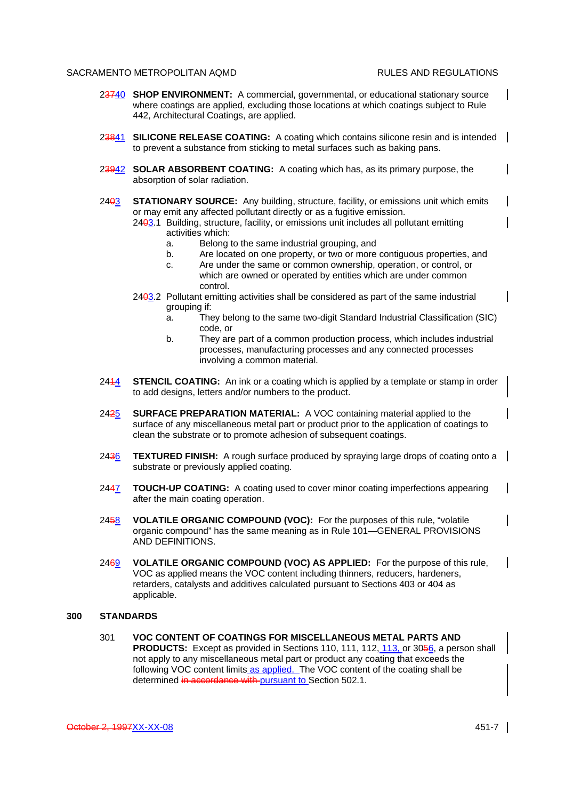$\mathsf{l}$ 

 $\mathsf{l}$ 

 $\mathsf{l}$ 

 $\overline{\phantom{a}}$ 

- 23740 **SHOP ENVIRONMENT:** A commercial, governmental, or educational stationary source where coatings are applied, excluding those locations at which coatings subject to Rule 442, Architectural Coatings, are applied.
- 23841 **SILICONE RELEASE COATING:** A coating which contains silicone resin and is intended | to prevent a substance from sticking to metal surfaces such as baking pans.
- 23942 **SOLAR ABSORBENT COATING:** A coating which has, as its primary purpose, the absorption of solar radiation.
- 2403 **STATIONARY SOURCE:** Any building, structure, facility, or emissions unit which emits or may emit any affected pollutant directly or as a fugitive emission.

- a. Belong to the same industrial grouping, and
- b. Are located on one property, or two or more contiguous properties, and
- c. Are under the same or common ownership, operation, or control, or which are owned or operated by entities which are under common control.
- 2403.2 Pollutant emitting activities shall be considered as part of the same industrial grouping if:
	- a. They belong to the same two-digit Standard Industrial Classification (SIC) code, or
	- b. They are part of a common production process, which includes industrial processes, manufacturing processes and any connected processes involving a common material.
- 2414 **STENCIL COATING:** An ink or a coating which is applied by a template or stamp in order to add designs, letters and/or numbers to the product.
- 2425 **SURFACE PREPARATION MATERIAL:** A VOC containing material applied to the surface of any miscellaneous metal part or product prior to the application of coatings to clean the substrate or to promote adhesion of subsequent coatings.
- 2436 **TEXTURED FINISH:** A rough surface produced by spraying large drops of coating onto a substrate or previously applied coating.
- 2447 **TOUCH-UP COATING:** A coating used to cover minor coating imperfections appearing after the main coating operation.
- 2458 **VOLATILE ORGANIC COMPOUND (VOC):** For the purposes of this rule, "volatile organic compound" has the same meaning as in Rule 101—GENERAL PROVISIONS AND DEFINITIONS.
- 2469 **VOLATILE ORGANIC COMPOUND (VOC) AS APPLIED:** For the purpose of this rule, VOC as applied means the VOC content including thinners, reducers, hardeners, retarders, catalysts and additives calculated pursuant to Sections 403 or 404 as applicable.

#### **300 STANDARDS**

301 **VOC CONTENT OF COATINGS FOR MISCELLANEOUS METAL PARTS AND PRODUCTS:** Except as provided in Sections 110, 111, 112, 113, or 3056, a person shall not apply to any miscellaneous metal part or product any coating that exceeds the following VOC content limits as applied. The VOC content of the coating shall be determined in accordance with pursuant to Section 502.1.

 $\mathsf{l}$ 

<sup>2403.1</sup> Building, structure, facility, or emissions unit includes all pollutant emitting activities which: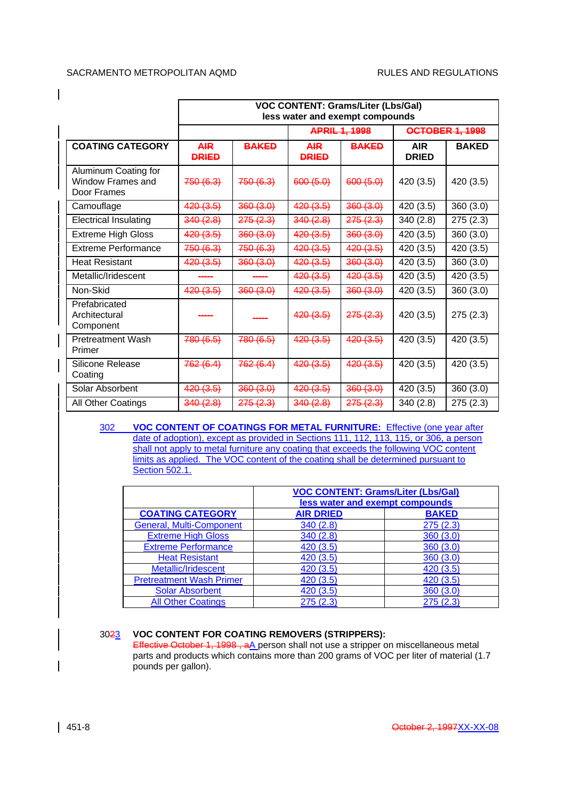$\mathsf{l}$ 

|                                                                 | <b>VOC CONTENT: Grams/Liter (Lbs/Gal)</b><br>less water and exempt compounds |              |                            |                      |                            |                        |
|-----------------------------------------------------------------|------------------------------------------------------------------------------|--------------|----------------------------|----------------------|----------------------------|------------------------|
|                                                                 |                                                                              |              |                            | <b>APRIL 1, 1998</b> |                            | <b>OCTOBER 1, 1998</b> |
| <b>COATING CATEGORY</b>                                         | <b>AIR</b><br><b>DRIED</b>                                                   | <b>BAKED</b> | <b>AIR</b><br><b>DRIED</b> | <b>BAKED</b>         | <b>AIR</b><br><b>DRIED</b> | <b>BAKED</b>           |
| Aluminum Coating for<br><b>Window Frames and</b><br>Door Frames | 750(6.3)                                                                     | 750(6.3)     | 600(5.0)                   | 600(5.0)             | 420 (3.5)                  | 420 (3.5)              |
| Camouflage                                                      | 420(3.5)                                                                     | 360(3.0)     | 420(3.5)                   | 360(3.0)             | 420 (3.5)                  | 360 (3.0)              |
| <b>Electrical Insulating</b>                                    | 340(2.8)                                                                     | 275(2.3)     | 340 (2.8)                  | 275(2.3)             | 340(2.8)                   | 275 (2.3)              |
| <b>Extreme High Gloss</b>                                       | 420(3.5)                                                                     | 360(3.0)     | 420(3.5)                   | 360(3.0)             | 420 (3.5)                  | 360 (3.0)              |
| <b>Extreme Performance</b>                                      | 750(6.3)                                                                     | 750(6.3)     | 420(3.5)                   | 420(3.5)             | 420 (3.5)                  | 420 (3.5)              |
| <b>Heat Resistant</b>                                           | 420(3.5)                                                                     | 360(3.0)     | 420(3.5)                   | 360(3.0)             | 420 (3.5)                  | 360 (3.0)              |
| Metallic/Iridescent                                             |                                                                              |              | 420(3.5)                   | 420(3.5)             | 420 (3.5)                  | 420 (3.5)              |
| Non-Skid                                                        | 420(3.5)                                                                     | 360(3.0)     | 420(3.5)                   | 360(3.0)             | 420 (3.5)                  | 360 (3.0)              |
| Prefabricated<br>Architectural<br>Component                     |                                                                              |              | 420(3.5)                   | 275(2.3)             | 420 (3.5)                  | 275(2.3)               |
| <b>Pretreatment Wash</b><br>Primer                              | 780(6.5)                                                                     | 780(6.5)     | 420(3.5)                   | 420(3.5)             | 420 (3.5)                  | 420 (3.5)              |
| Silicone Release<br>Coating                                     | 762(6.4)                                                                     | 762(6.4)     | 420(3.5)                   | 420(3.5)             | 420 (3.5)                  | 420 (3.5)              |
| Solar Absorbent                                                 | 420(3.5)                                                                     | 360(3.0)     | 420(3.5)                   | 360(3.0)             | 420(3.5)                   | 360(3.0)               |
| All Other Coatings                                              | 340(2.8)                                                                     | 275(2.3)     | 340(2.8)                   | 275(2.3)             | 340 (2.8)                  | 275 (2.3)              |

302 **VOC CONTENT OF COATINGS FOR METAL FURNITURE:** Effective (one year after date of adoption), except as provided in Sections 111, 112, 113, 115, or 306, a person shall not apply to metal furniture any coating that exceeds the following VOC content limits as applied. The VOC content of the coating shall be determined pursuant to Section 502.1.

|                                 | <b>VOC CONTENT: Grams/Liter (Lbs/Gal)</b> |              |  |
|---------------------------------|-------------------------------------------|--------------|--|
|                                 | less water and exempt compounds           |              |  |
| <b>COATING CATEGORY</b>         | <b>AIR DRIED</b>                          | <b>BAKED</b> |  |
| <b>General, Multi-Component</b> | 340(2.8)                                  | 275(2.3)     |  |
| <b>Extreme High Gloss</b>       | 340(2.8)                                  | 360(3.0)     |  |
| <b>Extreme Performance</b>      | 420 (3.5)                                 | 360(3.0)     |  |
| <b>Heat Resistant</b>           | 420 (3.5)                                 | 360(3.0)     |  |
| Metallic/Iridescent             | 420 (3.5)                                 | 420(3.5)     |  |
| <b>Pretreatment Wash Primer</b> | 420(3.5)                                  | 420(3.5)     |  |
| <b>Solar Absorbent</b>          | 420 (3.5)                                 | 360(3.0)     |  |
| <b>All Other Coatings</b>       | 275(2.3)                                  | 275(2.3)     |  |

# 3023 **VOC CONTENT FOR COATING REMOVERS (STRIPPERS):**

Effective October 1, 1998, aA person shall not use a stripper on miscellaneous metal parts and products which contains more than 200 grams of VOC per liter of material (1.7 pounds per gallon).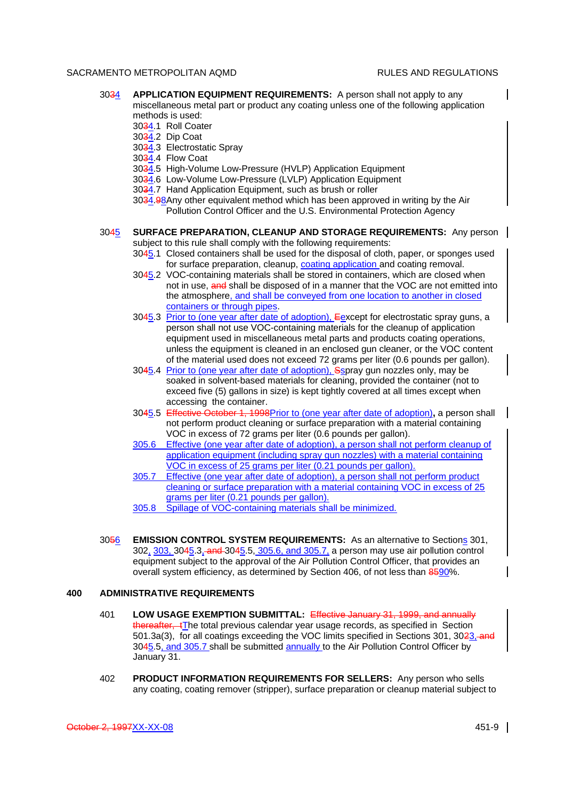- 3034 **APPLICATION EQUIPMENT REQUIREMENTS:** A person shall not apply to any miscellaneous metal part or product any coating unless one of the following application methods is used:
	- 3034.1 Roll Coater
	- 3034.2 Dip Coat
	- 3034.3 Electrostatic Spray
	- 3034.4 Flow Coat
	- 3034.5 High-Volume Low-Pressure (HVLP) Application Equipment
	- 3034.6 Low-Volume Low-Pressure (LVLP) Application Equipment
	- 3034.7 Hand Application Equipment, such as brush or roller

3034.98Any other equivalent method which has been approved in writing by the Air Pollution Control Officer and the U.S. Environmental Protection Agency

# 3045 **SURFACE PREPARATION, CLEANUP AND STORAGE REQUIREMENTS:** Any person

subject to this rule shall comply with the following requirements:

- 3045.1 Closed containers shall be used for the disposal of cloth, paper, or sponges used for surface preparation, cleanup, coating application and coating removal.
- 3045.2 VOC-containing materials shall be stored in containers, which are closed when not in use, and shall be disposed of in a manner that the VOC are not emitted into the atmosphere, and shall be conveyed from one location to another in closed containers or through pipes.
- 3045.3 Prior to (one year after date of adoption), Eexcept for electrostatic spray guns, a person shall not use VOC-containing materials for the cleanup of application equipment used in miscellaneous metal parts and products coating operations, unless the equipment is cleaned in an enclosed gun cleaner, or the VOC content of the material used does not exceed 72 grams per liter (0.6 pounds per gallon).
- 3045.4 Prior to (one year after date of adoption), Sspray gun nozzles only, may be soaked in solvent-based materials for cleaning, provided the container (not to exceed five (5) gallons in size) is kept tightly covered at all times except when accessing the container.
- 3045.5 Effective October 1, 1998Prior to (one year after date of adoption)**,** a person shall not perform product cleaning or surface preparation with a material containing VOC in excess of 72 grams per liter (0.6 pounds per gallon).
- 305.6 Effective (one year after date of adoption), a person shall not perform cleanup of application equipment (including spray gun nozzles) with a material containing VOC in excess of 25 grams per liter (0.21 pounds per gallon).
- 305.7 Effective (one year after date of adoption), a person shall not perform product cleaning or surface preparation with a material containing VOC in excess of 25 grams per liter (0.21 pounds per gallon).
- 305.8 Spillage of VOC-containing materials shall be minimized.
- 3056 **EMISSION CONTROL SYSTEM REQUIREMENTS:** As an alternative to Sections 301, 302, 303, 3045.3, and 3045.5, 305.6, and 305.7, a person may use air pollution control equipment subject to the approval of the Air Pollution Control Officer, that provides an overall system efficiency, as determined by Section 406, of not less than 8590%.

# **400 ADMINISTRATIVE REQUIREMENTS**

- 401 **LOW USAGE EXEMPTION SUBMITTAL:** Effective January 31, 1999, and annually thereafter, tThe total previous calendar year usage records, as specified in Section 501.3a(3), for all coatings exceeding the VOC limits specified in Sections 301, 3023, and 3045.5, and 305.7 shall be submitted annually to the Air Pollution Control Officer by January 31.
- 402 **PRODUCT INFORMATION REQUIREMENTS FOR SELLERS:** Any person who sells any coating, coating remover (stripper), surface preparation or cleanup material subject to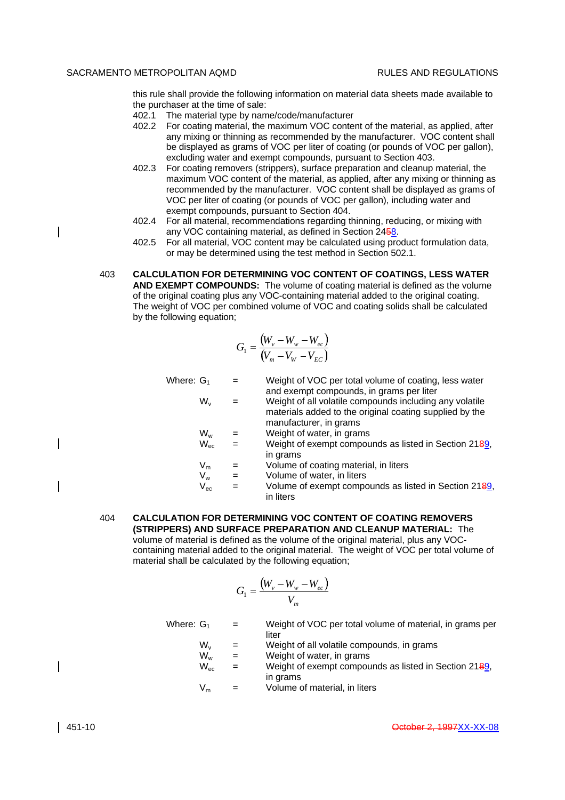this rule shall provide the following information on material data sheets made available to the purchaser at the time of sale:

- 402.1 The material type by name/code/manufacturer
- 402.2 For coating material, the maximum VOC content of the material, as applied, after any mixing or thinning as recommended by the manufacturer. VOC content shall be displayed as grams of VOC per liter of coating (or pounds of VOC per gallon), excluding water and exempt compounds, pursuant to Section 403.
- 402.3 For coating removers (strippers), surface preparation and cleanup material, the maximum VOC content of the material, as applied, after any mixing or thinning as recommended by the manufacturer. VOC content shall be displayed as grams of VOC per liter of coating (or pounds of VOC per gallon), including water and exempt compounds, pursuant to Section 404.
- 402.4 For all material, recommendations regarding thinning, reducing, or mixing with any VOC containing material, as defined in Section 2458.
- 402.5 For all material, VOC content may be calculated using product formulation data, or may be determined using the test method in Section 502.1.
- 403 **CALCULATION FOR DETERMINING VOC CONTENT OF COATINGS, LESS WATER AND EXEMPT COMPOUNDS:** The volume of coating material is defined as the volume of the original coating plus any VOC-containing material added to the original coating. The weight of VOC per combined volume of VOC and coating solids shall be calculated by the following equation;

$$
G_1 = \frac{(W_v - W_w - W_{ec})}{(V_m - V_w - V_{EC})}
$$

| Where: $G_1$ |                            | $=$ | Weight of VOC per total volume of coating, less water<br>and exempt compounds, in grams per liter                                            |
|--------------|----------------------------|-----|----------------------------------------------------------------------------------------------------------------------------------------------|
|              | $W_{v}$                    |     | Weight of all volatile compounds including any volatile<br>materials added to the original coating supplied by the<br>manufacturer, in grams |
|              | $W_w$                      |     | Weight of water, in grams                                                                                                                    |
|              | $W_{ec}$                   | $=$ | Weight of exempt compounds as listed in Section 2189,<br>in grams                                                                            |
|              | $V_m$                      |     | Volume of coating material, in liters                                                                                                        |
|              | V <sub>w</sub>             | $=$ | Volume of water, in liters                                                                                                                   |
|              | $\mathsf{V}_{\mathsf{ec}}$ |     | Volume of exempt compounds as listed in Section 2189,<br>in liters                                                                           |
|              |                            |     |                                                                                                                                              |

404 **CALCULATION FOR DETERMINING VOC CONTENT OF COATING REMOVERS (STRIPPERS) AND SURFACE PREPARATION AND CLEANUP MATERIAL:** The volume of material is defined as the volume of the original material, plus any VOCcontaining material added to the original material. The weight of VOC per total volume of material shall be calculated by the following equation;

$$
G_1 = \frac{(W_v - W_w - W_{ec})}{V_m}
$$

Where:  $G_1$  = Weight of VOC per total volume of material, in grams per liter

- $W_v$  = Weight of all volatile compounds, in grams<br> $W_w$  = Weight of water, in grams
	- $=$  Weight of water, in grams
- $W_{\text{ec}}$  = Weight of exempt compounds as listed in Section 2189, in grams
- $V_m$  = Volume of material, in liters

 $\mathsf{l}$ 

 $\mathsf{l}$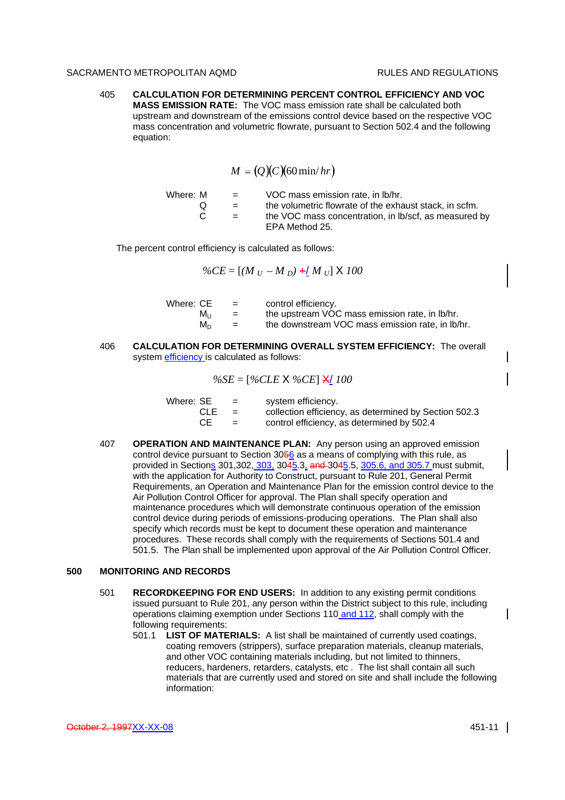405 **CALCULATION FOR DETERMINING PERCENT CONTROL EFFICIENCY AND VOC MASS EMISSION RATE:** The VOC mass emission rate shall be calculated both upstream and downstream of the emissions control device based on the respective VOC mass concentration and volumetric flowrate, pursuant to Section 502.4 and the following equation:

$$
M = (Q)(C)(60 \min/hr)
$$

| Where: M | <b>Simple Street</b>      | VOC mass emission rate, in Ib/hr.                                       |
|----------|---------------------------|-------------------------------------------------------------------------|
|          | $\mathbf{r} = \mathbf{r}$ | the volumetric flowrate of the exhaust stack, in scfm.                  |
|          | $\equiv$ $\equiv$         | the VOC mass concentration, in Ib/scf, as measured by<br>EPA Method 25. |

The percent control efficiency is calculated as follows:

 $\%CE = [(M_U - M_D) + (M_U) \times 100]$ 

| Where: CE | $\equiv$ | control efficiency.                              |
|-----------|----------|--------------------------------------------------|
| Mu        | $=$      | the upstream VOC mass emission rate, in Ib/hr.   |
| M∩        | $=$      | the downstream VOC mass emission rate, in Ib/hr. |
|           |          |                                                  |

406 **CALCULATION FOR DETERMINING OVERALL SYSTEM EFFICIENCY:** The overall system efficiency is calculated as follows:

$$
\%SE = [\%CLE \times \%CE] \times 100
$$

| Where: SE  | $=$ | system efficiency.                                    |
|------------|-----|-------------------------------------------------------|
| <b>CLE</b> | $=$ | collection efficiency, as determined by Section 502.3 |
| CE         | $=$ | control efficiency, as determined by 502.4            |

407 **OPERATION AND MAINTENANCE PLAN:** Any person using an approved emission control device pursuant to Section 3056 as a means of complying with this rule, as provided in Sections 301, 302, 303, 3045.3, and 3045.5, 305.6, and 305.7 must submit, with the application for Authority to Construct, pursuant to Rule 201, General Permit Requirements, an Operation and Maintenance Plan for the emission control device to the Air Pollution Control Officer for approval. The Plan shall specify operation and maintenance procedures which will demonstrate continuous operation of the emission control device during periods of emissions-producing operations. The Plan shall also specify which records must be kept to document these operation and maintenance procedures. These records shall comply with the requirements of Sections 501.4 and 501.5. The Plan shall be implemented upon approval of the Air Pollution Control Officer.

# **500 MONITORING AND RECORDS**

- 501 **RECORDKEEPING FOR END USERS:** In addition to any existing permit conditions issued pursuant to Rule 201, any person within the District subject to this rule, including operations claiming exemption under Sections 110 and 112, shall comply with the following requirements:
	- 501.1 **LIST OF MATERIALS:** A list shall be maintained of currently used coatings, coating removers (strippers), surface preparation materials, cleanup materials, and other VOC containing materials including, but not limited to thinners, reducers, hardeners, retarders, catalysts, etc . The list shall contain all such materials that are currently used and stored on site and shall include the following information: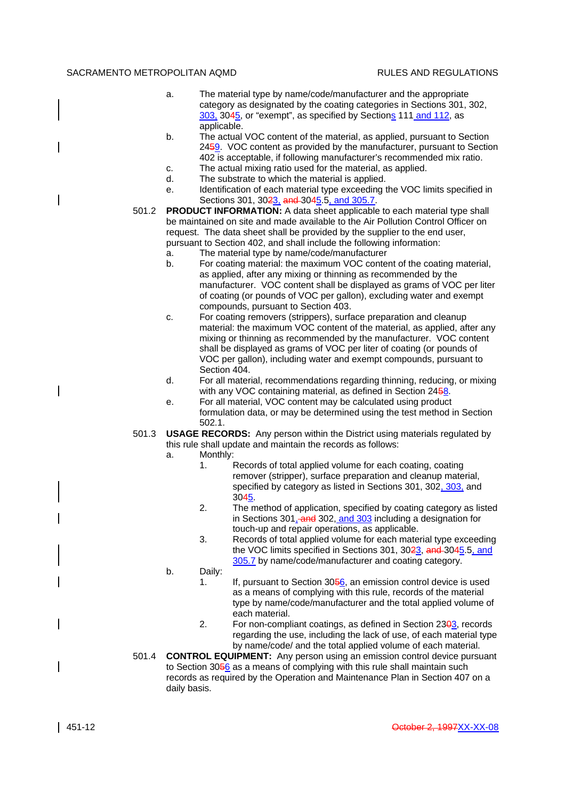- a. The material type by name/code/manufacturer and the appropriate category as designated by the coating categories in Sections 301, 302, 303, 3045, or "exempt", as specified by Sections 111 and 112, as applicable.
- b. The actual VOC content of the material, as applied, pursuant to Section 2459. VOC content as provided by the manufacturer, pursuant to Section 402 is acceptable, if following manufacturer's recommended mix ratio.
- c. The actual mixing ratio used for the material, as applied.
- d. The substrate to which the material is applied.
- e. Identification of each material type exceeding the VOC limits specified in Sections 301, 3023, and 3045.5, and 305.7.
- 501.2 **PRODUCT INFORMATION:** A data sheet applicable to each material type shall be maintained on site and made available to the Air Pollution Control Officer on request. The data sheet shall be provided by the supplier to the end user, pursuant to Section 402, and shall include the following information:
	- a. The material type by name/code/manufacturer
	- b. For coating material: the maximum VOC content of the coating material, as applied, after any mixing or thinning as recommended by the manufacturer. VOC content shall be displayed as grams of VOC per liter of coating (or pounds of VOC per gallon), excluding water and exempt compounds, pursuant to Section 403.
	- c. For coating removers (strippers), surface preparation and cleanup material: the maximum VOC content of the material, as applied, after any mixing or thinning as recommended by the manufacturer. VOC content shall be displayed as grams of VOC per liter of coating (or pounds of VOC per gallon), including water and exempt compounds, pursuant to Section 404.
	- d. For all material, recommendations regarding thinning, reducing, or mixing with any VOC containing material, as defined in Section 2458.
	- e. For all material, VOC content may be calculated using product formulation data, or may be determined using the test method in Section 502.1.
- 501.3 **USAGE RECORDS:** Any person within the District using materials regulated by this rule shall update and maintain the records as follows:
	- a. Monthly:
		- 1. Records of total applied volume for each coating, coating remover (stripper), surface preparation and cleanup material, specified by category as listed in Sections 301, 302, 303, and 3045.
		- 2. The method of application, specified by coating category as listed in Sections 301, and 302, and 303 including a designation for touch-up and repair operations, as applicable.
		- 3. Records of total applied volume for each material type exceeding the VOC limits specified in Sections 301, 3023, and 3045.5, and 305.7 by name/code/manufacturer and coating category.
	- b. Daily:
		- 1. If, pursuant to Section 3056, an emission control device is used as a means of complying with this rule, records of the material type by name/code/manufacturer and the total applied volume of each material.
		- 2. For non-compliant coatings, as defined in Section  $23\frac{13}{10}$ , records regarding the use, including the lack of use, of each material type by name/code/ and the total applied volume of each material.
- 501.4 **CONTROL EQUIPMENT:** Any person using an emission control device pursuant to Section 3056 as a means of complying with this rule shall maintain such records as required by the Operation and Maintenance Plan in Section 407 on a daily basis.

 $\overline{\phantom{a}}$